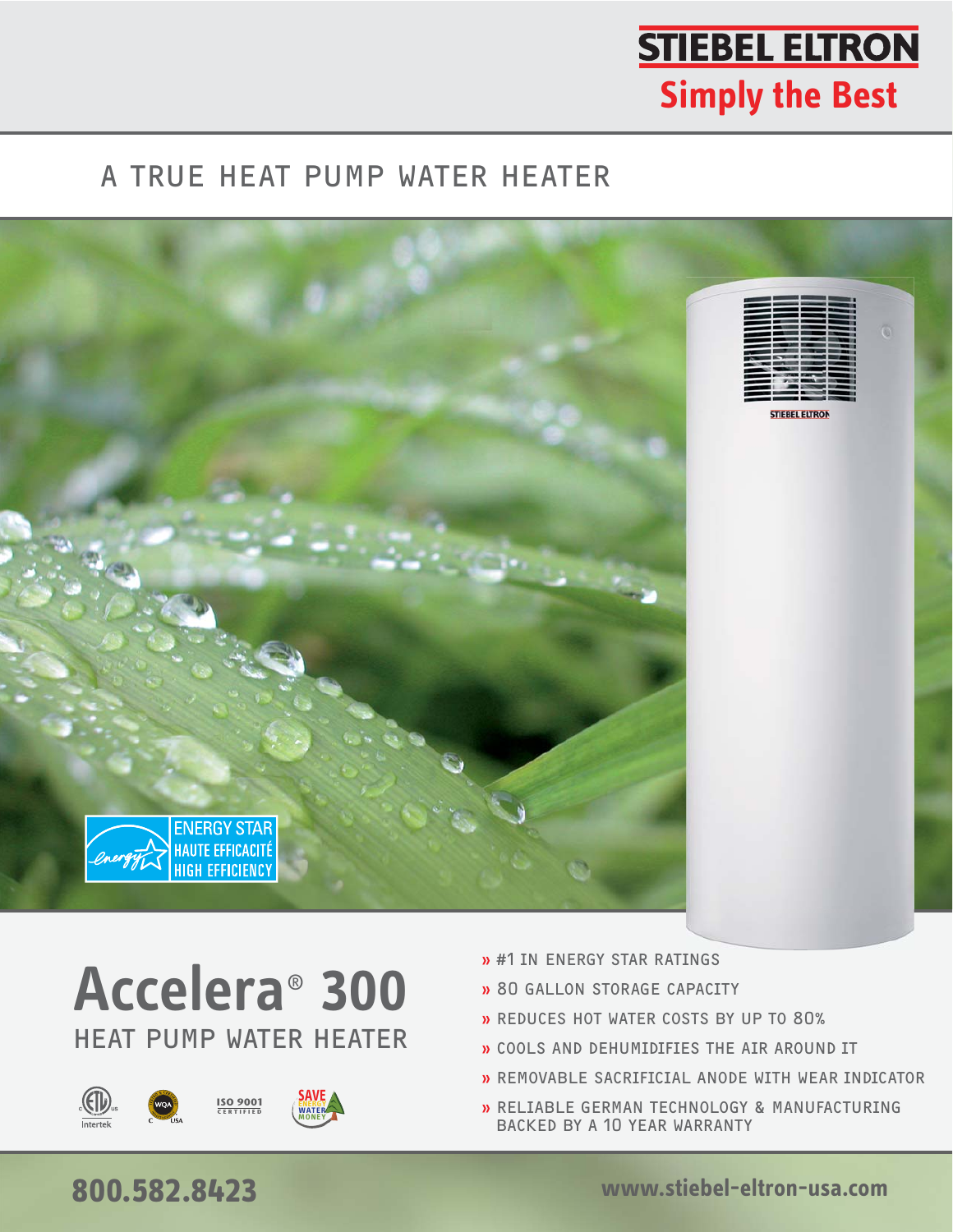# **STIEBEL ELTRON Simply the Best**

#### A TRUE HEAT PUMP WATER HEATER



# HEAT PUMP WATER HEATER **Accelera**®  **300**





- » 80 GALLON STORAGE CAPACITY
- » REDUCES HOT WATER COSTS BY UP TO 80%
- » COOLS AND DEHUMIDIFIES THE AIR AROUND IT
- » REMOVABLE SACRIFICIAL ANODE WITH WEAR INDICATOR
- » RELIABLE GERMAN TECHNOLOGY & MANUFACTURING BACKED BY A 10 YEAR WARRANTY

# **800.582.8423 www.stiebel-eltron-usa.com**

www.stiebel-eltron-usa.com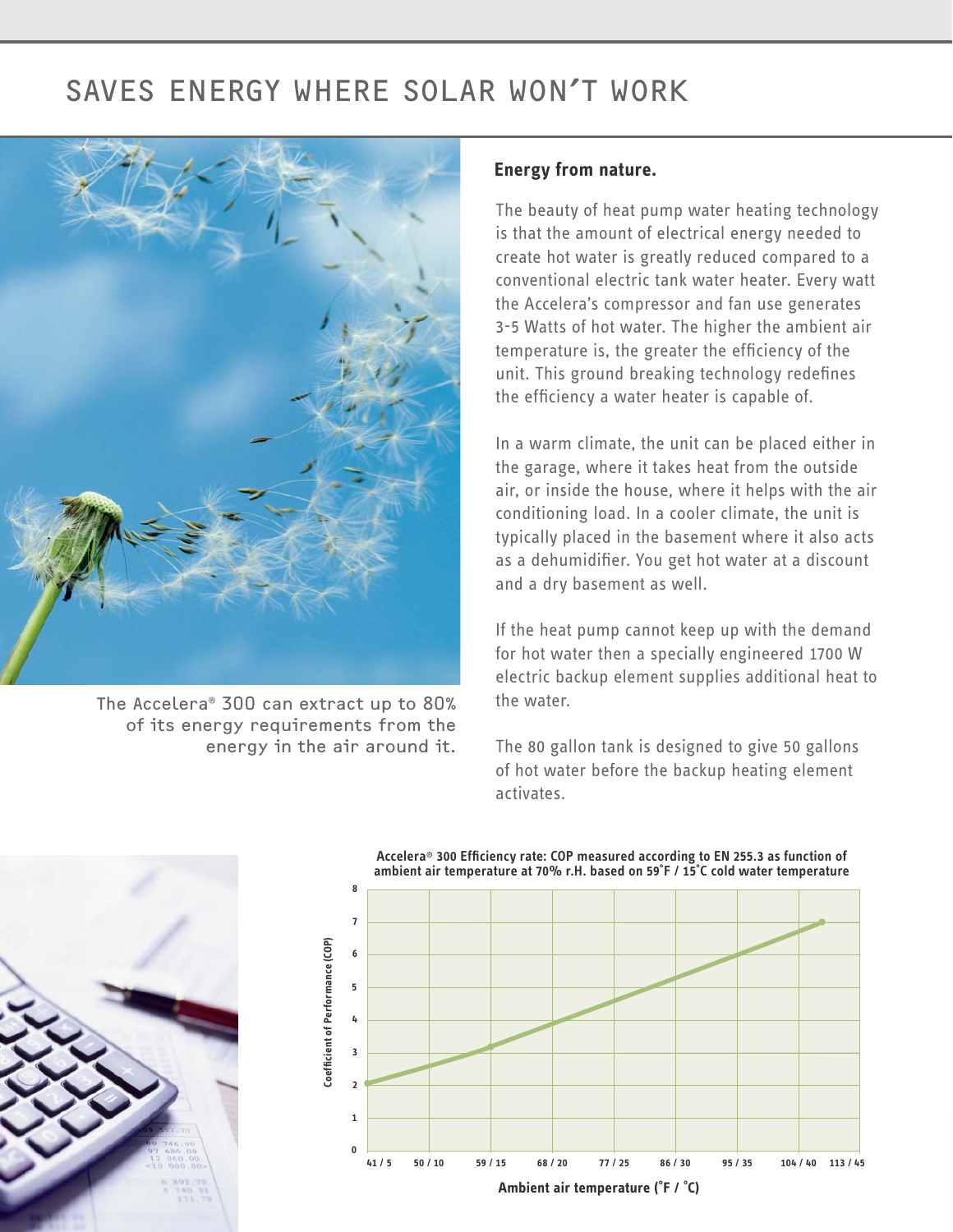#### SAVES ENERGY WHERE SOLAR WON'T WORK



The Accelera® 300 can extract up to 80% of its energy requirements from the energy in the air around it.

#### **Energy from nature.**

The beauty of heat pump water heating technology is that the amount of electrical energy needed to create hot water is greatly reduced compared to a conventional electric tank water heater. Every watt the Accelera's compressor and fan use generates 3-5 Watts of hot water. The higher the ambient air temperature is, the greater the efficiency of the unit. This ground breaking technology redefines the efficiency a water heater is capable of.

In a warm climate, the unit can be placed either in the garage, where it takes heat from the outside air, or inside the house, where it helps with the air conditioning load. In a cooler climate, the unit is typically placed in the basement where it also acts as a dehumidifier. You get hot water at a discount and a dry basement as well.

If the heat pump cannot keep up with the demand for hot water then a specially engineered 1700 W electric backup element supplies additional heat to the water.

The 80 gallon tank is designed to give 50 gallons of hot water before the backup heating element activates.



**Accelera**® **300 Efficiency rate: COP measured according to EN 255.3 as function of ambient air temperature at 70% r.H. based on 59˚F / 15˚C cold water temperature**

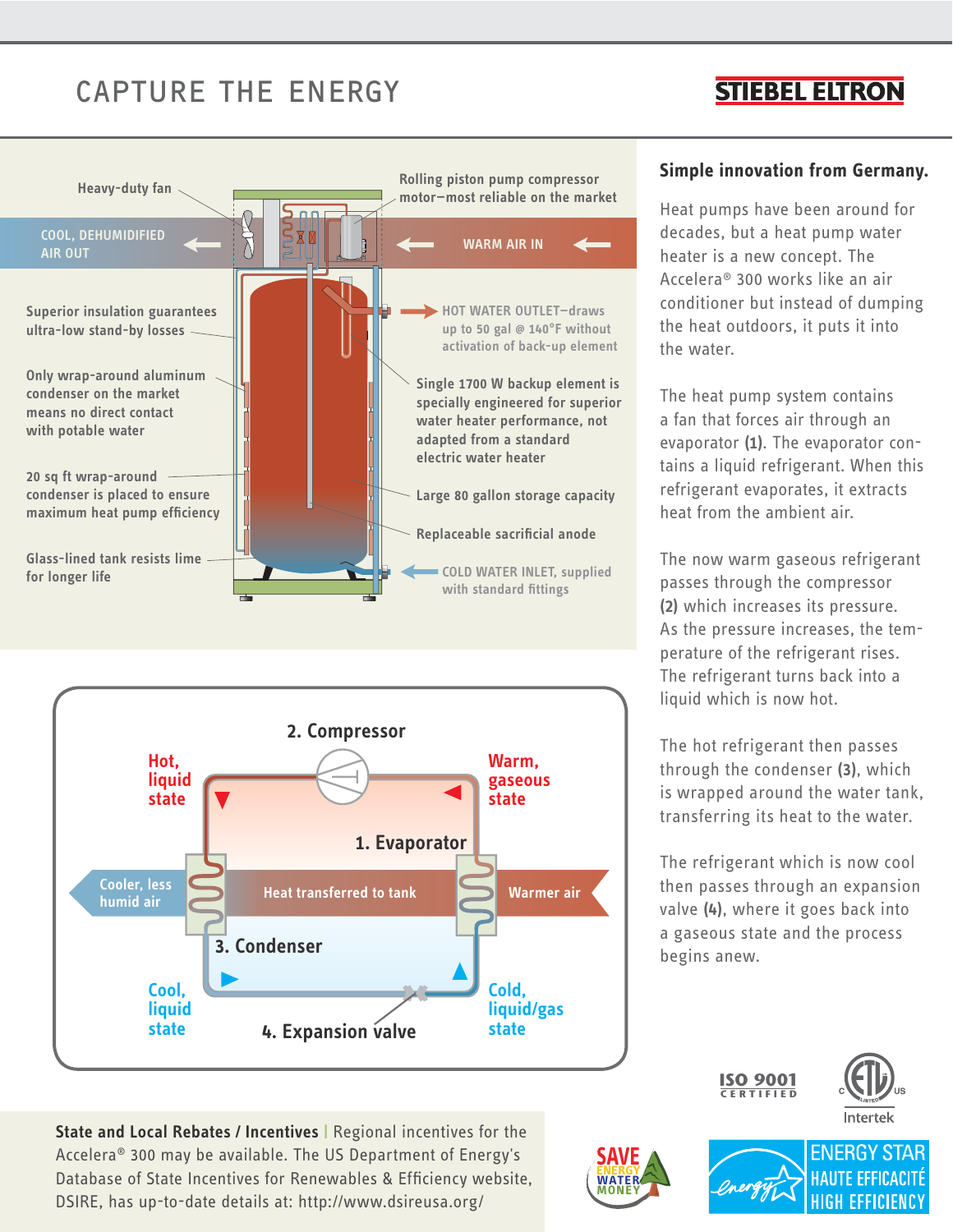### CAPTURE THE ENERGY

#### **STIEBEL ELTRON**





**State and Local Rebates / Incentives |** Regional incentives for the Accelera® 300 may be available. The US Department of Energy's Database of State Incentives for Renewables & Efficiency website, DSIRE, has up-to-date details at: http://www.dsireusa.org/

#### **Simple innovation from Germany.**

Heat pumps have been around for decades, but a heat pump water heater is a new concept. The Accelera® 300 works like an air conditioner but instead of dumping the heat outdoors, it puts it into the water.

The heat pump system contains a fan that forces air through an evaporator **(1)**. The evaporator contains a liquid refrigerant. When this refrigerant evaporates, it extracts heat from the ambient air.

The now warm gaseous refrigerant passes through the compressor **(2)** which increases its pressure. As the pressure increases, the temperature of the refrigerant rises. The refrigerant turns back into a liquid which is now hot.

The hot refrigerant then passes through the condenser **(3)**, which is wrapped around the water tank, transferring its heat to the water.

The refrigerant which is now cool then passes through an expansion valve **(4)**, where it goes back into a gaseous state and the process begins anew.